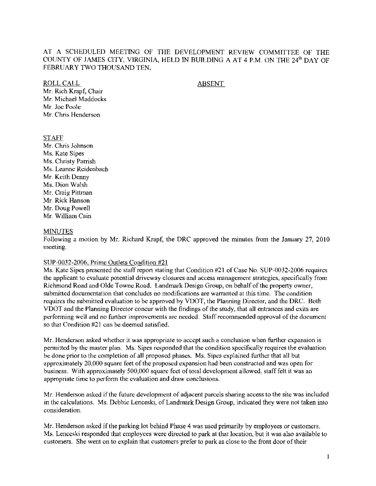## AT A SCHEDULED MEETING OF THE DEVELOPMENT REVIEW COMMITTEE OF THE COUNTY OF JAMES CITY, VIRGINIA, HELD IN BUILDING A AT 4 P.M. ON THE  $24<sup>th</sup>$  DAY OF FEBRUARY TWO THOUSAND TEN.

ROLL CALL ABSENT Mr. Rich Krapf, Chair Mr. Michael Maddocks Mr. Joe Poole Mr. Chris Henderson

# STAFF

Mr. Chris Johnson Ms. Kate Sipes Ms. Christy Parrish Ms. Leanne Reidenbach Mr. Keith Denny Ms. Dion Walsh Mr. Craig Pittman Mr. Rick Hanson Mr. Doug Powell Mr. William Cain

## MINUTES

Following a motion by Mr. Richard Krapf, the DRC approved the minutes from the January 27, 2010 meeting.

## SUP-0032:2006, Prime Outlets Condition #21

Ms. Kate Sipes presented the staff report stating that Condition #21 of Case No. SUP·0032·2006 requires the applicant to evaluate potential driveway closures and access management strategies, specifically from Richmond Road and Olde Towne Road. Landmark Design Group, on behalf of the property owner, submitted documentation that concludes no modifications are warranted at this time. The condition requires the submitted evaluation to be approved by VDOT, the Planning Director, and the DRC. Both VDOT and the Planning Director concur with the findings of the study, that all entrances and exits are performing well and no further improvements are needed. Staff recommended approval of the document so that Condition #21 can be deemed satisfied.

Mr. Henderson asked whether it was appropriate to accept such a conclusion when further expansion is permitted by the master plan. Ms. Sipes responded that the condition specifically requires the evaluation be done prior to the completion of all proposed phases. Ms. Sipes explained further that all but approximately 20,000 square feet of the proposed expansion had been constructed and was open for business. With approximately 500,000 square feet of total development allowed, staff felt it was an appropriate time to perform the evaluation and draw conclusions.

Mr. Henderson asked if the future development of adjacent parcels sharing access to the site was included in the calculations. Ms. Dehbie Lenceski, of Landmark Design Group, indicated they were not taken into consideration.

Mr. Henderson asked if the parking lot behind Phase 4 was used primarily by employees or customers. Ms. Lenceski responded that employees were direeted to park at that location, but it was also available to customers. She went on to explain that customers prefer to park as close to the front door oftheir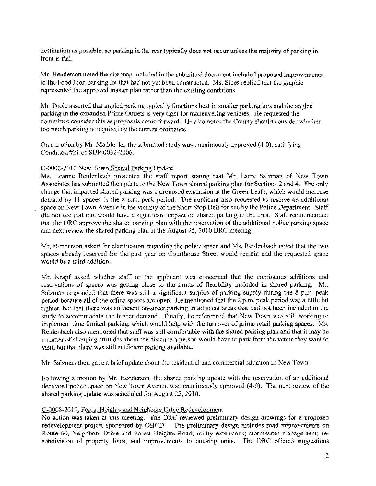destination as possible, so parking in the rear typically does not occur unless the majority of parking in front is full.

Mr. Henderson noted the site map included in the suhmitted document included proposed improvements to the Food Lion parking lot that had not yet been constructed. Ms. Sipes replied that the graphic represented the approved master plan rather than the existing conditions.

Mr. Poole asserted that angled parking typically functions best in smaller parking lots and the angled parking in the expanded Prime Outlets is very tight for maneuvering vehicles. He requested the committee consider this as proposals come forward. He also noted the County should consider whether too much parking is required by the current ordinance.

On a motion by Mr. Maddocks, the submitted study was unanimously approved  $(4-0)$ , satisfying Condition #21 of SlJP-0032-2006.

#### C-0002-2010 New Town Shared Parking Update

Ms. Leanne Reidenbach presented the staff report stating that Mr. Larry Salzman of New Town Associates has submitted the update to the New Town shared parking plan for Sections 2 and 4. The only change that impacted shared parking was a proposed expansion at the Green Leafe, which would increase demand by 11 spaces in the 8 p.m. peak period. The applicant also requested to reserve an additional space on New Town Avenue in the vicinity of the Short Stop Deli for use by the Police Department. Staff did not see that this would have a significant impact on shared parking in the area. Staff recommended that the DRC approve the shared parking plan with the reservation of the additional police parking space and next review the shared parking plan at the August 25, 2010 DRC meeting.

Mr. Henderson asked for clarification regarding the police space and Ms. Reidenbach noted that the two spaces already reserved for the past year on Courthouse Street would remain and the requested space would be a third addition.

Mr. Krapf asked wbether staff or the applicant was concerned that the continuous additions and reservations of spaces was getting close to the limits of flexibility included in shared parking. Mr. Salzman responded that there was still a significant surplus of parking supply during the 8 p.m. peak period because all of the office spaces are open. He mentioned that the 2 p.m. peak period was a little bit tighter, but that there was sufficient on-street parking in adjacent areas that had not been included in the study to accommodate the higher demand. Finally, he referenced that New Town was still working to implement time limited parking, which would help with the turnover of prime retail parking spaces. Ms. Reidenbach also mentioned that staff was still comfortable with the shared parking plan and that it may be a matter of changing attitudes about the distance a person would have to park from the venue they want to visit, but that there was still sufficient parking available.

Mr. Salzman then gave a brief update about the residential and commercial situation in New Town.

Following a motion by Mr. Henderson, the shared parking update with the reservation of an additional dedicated police space on New Town Avenue was unanimously approved (4-0). The next review of the shared parking update was scheduled for August 25, 2010.

#### C-0008-2010, Forest Heights and Neighbors Drive Redevelopment

No action was taken at this meeting. The DRC reviewed preliminary design drawings for a proposed redevelopment project sponsored by OHCD. The preliminary design includes road improvements on Route 60, Neighbors Drive and Forest Heights Road; utility extensions; stormwater management; resubdivision of property lines; and improvements to housing units. The DRC offered suggestions